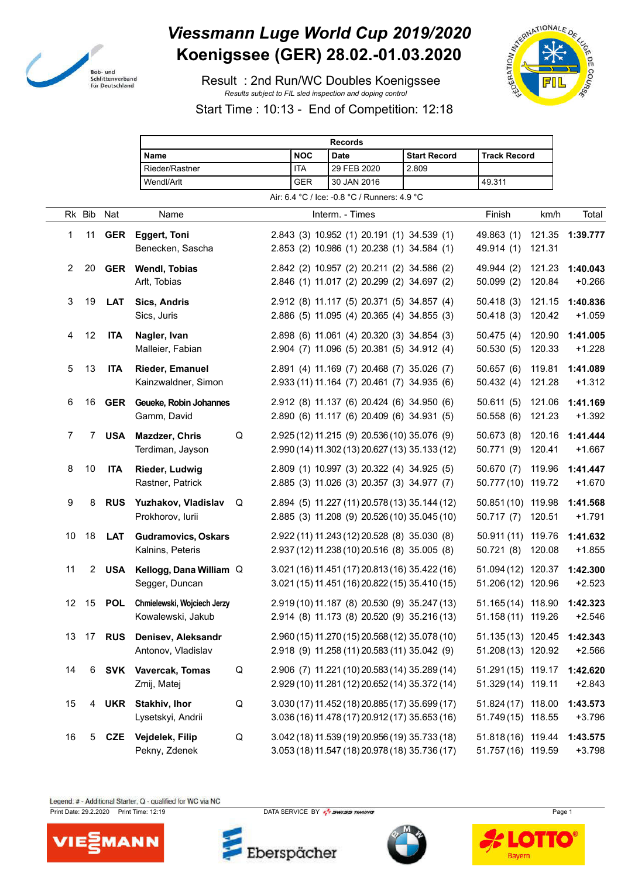

## *Viessmann Luge World Cup 2019/2020* **Koenigssee (GER) 28.02.-01.03.2020**

 Result : 2nd Run/WC Doubles Koenigssee *Results subject to FIL sled inspection and doping control*



Start Time : 10:13 - End of Competition: 12:18

|                |             |            |                                 | <b>Records</b> |            |                                                |                     |                             |        |          |
|----------------|-------------|------------|---------------------------------|----------------|------------|------------------------------------------------|---------------------|-----------------------------|--------|----------|
|                |             |            | Name                            |                | <b>NOC</b> | <b>Date</b>                                    | <b>Start Record</b> | <b>Track Record</b>         |        |          |
|                |             |            | Rieder/Rastner                  |                | <b>ITA</b> | 29 FEB 2020                                    | 2.809               |                             |        |          |
|                |             |            | Wendl/Arlt                      |                | <b>GER</b> | 30 JAN 2016                                    |                     | 49.311                      |        |          |
|                |             |            |                                 |                |            | Air: 6.4 °C / Ice: -0.8 °C / Runners: 4.9 °C   |                     |                             |        |          |
|                | Rk Bib      | Nat        | Name                            |                |            | Interm. - Times                                |                     | Finish                      | km/h   | Total    |
| 1              | 11          | <b>GER</b> | <b>Eggert, Toni</b>             |                |            | 2.843 (3) 10.952 (1) 20.191 (1) 34.539 (1)     |                     | 49.863 (1)                  | 121.35 | 1:39.777 |
|                |             |            | Benecken, Sascha                |                |            | 2.853 (2) 10.986 (1) 20.238 (1) 34.584 (1)     |                     | 49.914 (1)                  | 121.31 |          |
| $\overline{2}$ | 20          | <b>GER</b> | <b>Wendl, Tobias</b>            |                |            | 2.842 (2) 10.957 (2) 20.211 (2) 34.586 (2)     |                     | 49.944 (2)                  | 121.23 | 1:40.043 |
|                |             |            | Arlt, Tobias                    |                |            | 2.846 (1) 11.017 (2) 20.299 (2) 34.697 (2)     |                     | 50.099(2)                   | 120.84 | $+0.266$ |
| 3              | 19          | <b>LAT</b> | Sics, Andris                    |                |            | 2.912 (8) 11.117 (5) 20.371 (5) 34.857 (4)     |                     | 50.418(3)                   | 121.15 | 1:40.836 |
|                |             |            | Sics, Juris                     |                |            | 2.886 (5) 11.095 (4) 20.365 (4) 34.855 (3)     |                     | 50.418(3)                   | 120.42 | $+1.059$ |
|                |             |            |                                 |                |            |                                                |                     |                             |        |          |
| 4              | 12          | <b>ITA</b> | Nagler, Ivan                    |                |            | 2.898 (6) 11.061 (4) 20.320 (3) 34.854 (3)     |                     | 50.475(4)                   | 120.90 | 1:41.005 |
|                |             |            | Malleier, Fabian                |                |            | 2.904 (7) 11.096 (5) 20.381 (5) 34.912 (4)     |                     | 50.530(5)                   | 120.33 | $+1.228$ |
| 5              | 13          | <b>ITA</b> | <b>Rieder, Emanuel</b>          |                |            | 2.891 (4) 11.169 (7) 20.468 (7) 35.026 (7)     |                     | 50.657(6)                   | 119.81 | 1:41.089 |
|                |             |            | Kainzwaldner, Simon             |                |            | 2.933 (11) 11.164 (7) 20.461 (7) 34.935 (6)    |                     | 50.432(4)                   | 121.28 | $+1.312$ |
| 6              | 16          | GER        | Geueke, Robin Johannes          |                |            | 2.912 (8) 11.137 (6) 20.424 (6) 34.950 (6)     |                     | 50.611(5)                   | 121.06 | 1:41.169 |
|                |             |            | Gamm, David                     |                |            | 2.890 (6) 11.117 (6) 20.409 (6) 34.931 (5)     |                     | 50.558(6)                   | 121.23 | $+1.392$ |
| 7              | 7           | <b>USA</b> | <b>Mazdzer, Chris</b>           | Q              |            | 2.925 (12) 11.215 (9) 20.536 (10) 35.076 (9)   |                     | 50.673(8)                   | 120.16 | 1:41.444 |
|                |             |            | Terdiman, Jayson                |                |            | 2.990 (14) 11.302 (13) 20.627 (13) 35.133 (12) |                     | 50.771 (9)                  | 120.41 | $+1.667$ |
|                |             |            |                                 |                |            |                                                |                     |                             |        |          |
| 8              | 10          | <b>ITA</b> | <b>Rieder, Ludwig</b>           |                |            | 2.809 (1) 10.997 (3) 20.322 (4) 34.925 (5)     |                     | 50.670(7)                   | 119.96 | 1:41.447 |
|                |             |            | Rastner, Patrick                |                |            | 2.885 (3) 11.026 (3) 20.357 (3) 34.977 (7)     |                     | 50.777(10)                  | 119.72 | $+1.670$ |
| 9              | 8           | <b>RUS</b> | Yuzhakov, Vladislav             | Q              |            | 2.894 (5) 11.227 (11) 20.578 (13) 35.144 (12)  |                     | 50.851 (10) 119.98          |        | 1:41.568 |
|                |             |            | Prokhorov, lurii                |                |            | 2.885 (3) 11.208 (9) 20.526 (10) 35.045 (10)   |                     | 50.717(7)                   | 120.51 | $+1.791$ |
| 10             | 18          | <b>LAT</b> | <b>Gudramovics, Oskars</b>      |                |            | 2.922 (11) 11.243 (12) 20.528 (8) 35.030 (8)   |                     | 50.911 (11) 119.76          |        | 1:41.632 |
|                |             |            | Kalnins, Peteris                |                |            | 2.937 (12) 11.238 (10) 20.516 (8) 35.005 (8)   |                     | 50.721(8)                   | 120.08 | $+1.855$ |
| 11             | $2^{\circ}$ | <b>USA</b> | Kellogg, Dana William Q         |                |            | 3.021 (16) 11.451 (17) 20.813 (16) 35.422 (16) |                     | 51.094 (12) 120.37          |        | 1:42.300 |
|                |             |            | Segger, Duncan                  |                |            | 3.021 (15) 11.451 (16) 20.822 (15) 35.410 (15) |                     | 51.206 (12) 120.96          |        | $+2.523$ |
|                |             |            |                                 |                |            |                                                |                     |                             |        |          |
| 12             | 15          |            | POL Chmielewski, Wojciech Jerzy |                |            | 2.919 (10) 11.187 (8) 20.530 (9) 35.247 (13)   |                     | 51.165 (14) 118.90 1:42.323 |        |          |
|                |             |            | Kowalewski, Jakub               |                |            | 2.914 (8) 11.173 (8) 20.520 (9) 35.216 (13)    |                     | 51.158 (11) 119.26          |        | $+2.546$ |
| 13             | 17          | <b>RUS</b> | Denisev, Aleksandr              |                |            | 2.960 (15) 11.270 (15) 20.568 (12) 35.078 (10) |                     | 51.135 (13) 120.45          |        | 1:42.343 |
|                |             |            | Antonov, Vladislav              |                |            | 2.918 (9) 11.258 (11) 20.583 (11) 35.042 (9)   |                     | 51.208 (13) 120.92          |        | $+2.566$ |
| 14             | 6           |            | SVK Vavercak, Tomas             | Q              |            | 2.906 (7) 11.221 (10) 20.583 (14) 35.289 (14)  |                     | 51.291 (15) 119.17          |        | 1:42.620 |
|                |             |            | Zmij, Matej                     |                |            | 2.929 (10) 11.281 (12) 20.652 (14) 35.372 (14) |                     | 51.329 (14) 119.11          |        | $+2.843$ |
| 15             |             | 4 UKR      | Stakhiv, Ihor                   | Q              |            | 3.030 (17) 11.452 (18) 20.885 (17) 35.699 (17) |                     | 51.824 (17) 118.00          |        | 1:43.573 |
|                |             |            | Lysetskyi, Andrii               |                |            | 3.036 (16) 11.478 (17) 20.912 (17) 35.653 (16) |                     | 51.749 (15) 118.55          |        | $+3.796$ |
|                |             |            |                                 |                |            |                                                |                     |                             |        |          |
| 16             | 5           | <b>CZE</b> | Vejdelek, Filip                 | $\sf Q$        |            | 3.042 (18) 11.539 (19) 20.956 (19) 35.733 (18) |                     | 51.818 (16) 119.44          |        | 1:43.575 |
|                |             |            | Pekny, Zdenek                   |                |            | 3.053 (18) 11.547 (18) 20.978 (18) 35.736 (17) |                     | 51.757 (16) 119.59          |        | $+3.798$ |

Legend: # - Additional Starter, Q - qualified for WC via NC

Print Date: 29.2.2020 Print Time: 12:19 DATA SERVICE BY  $\frac{P}{2}$  SWISS TIMING



Eberspächer